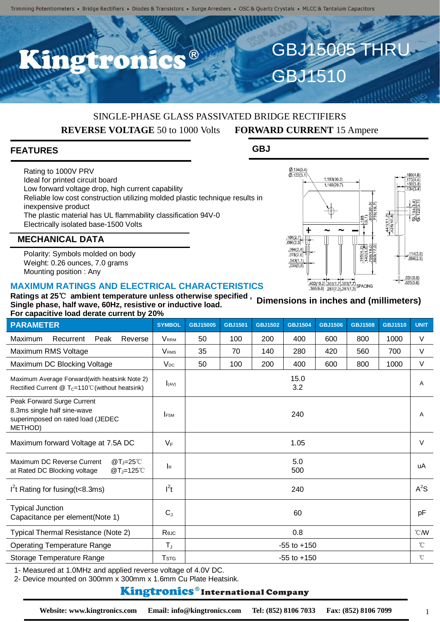C.C.B

# SINGLE-PHASE GLASS PASSIVATED BRIDGE RECTIFIERS **REVERSE VOLTAGE** 50 to 1000 Volts **FORWARD CURRENT** 15 Ampere

**GBJ**

GBJ15005 THRU

1.193(30.3) 1.169(29.7)

 $\frac{402(10.2)}{386(9.8)} \frac{303(7.7)}{287(7.3)} \frac{303(7.7)}{287(7.3)}$  SPACING

GBJ1510

 $\frac{\emptyset.134(3.4)}{\emptyset.122(3.1)}$ 

4

 $096(2.3)$  $.094(2.4)$  $.078(2.0)$ 

 $\frac{.043(1.1)}{.035(0.9)}$ 

### **FEATURES**

Rating to 1000V PRV Ideal for printed circuit board Low forward voltage drop, high current capability Reliable low cost construction utilizing molded plastic technique results in inexpensive product The plastic material has UL flammability classification 94V-0 Electrically isolated base-1500 Volts

### **MECHANICAL DATA**

Polarity: Symbols molded on body Weight: 0.26 ounces, 7.0 grams Mounting position : Any

#### **MAXIMUM RATINGS AND ELECTRICAL CHARACTERISTICS**

| For capacitive load derate current by 20%                                                                    |                           |                 |                |                |                |                |                |                |               |
|--------------------------------------------------------------------------------------------------------------|---------------------------|-----------------|----------------|----------------|----------------|----------------|----------------|----------------|---------------|
| <b>PARAMETER</b>                                                                                             | <b>SYMBOL</b>             | GBJ15005        | <b>GBJ1501</b> | <b>GBJ1502</b> | <b>GBJ1504</b> | <b>GBJ1506</b> | <b>GBJ1508</b> | <b>GBJ1510</b> | <b>UNIT</b>   |
| Maximum<br>Peak<br>Reverse<br>Recurrent                                                                      | <b>VRRM</b>               | 50              | 100            | 200            | 400            | 600            | 800            | 1000           | V             |
| Maximum RMS Voltage                                                                                          | <b>VRMS</b>               | 35              | 70             | 140            | 280            | 420            | 560            | 700            | V             |
| Maximum DC Blocking Voltage                                                                                  | $V_{DC}$                  | 50              | 100            | 200            | 400            | 600            | 800            | 1000           | $\vee$        |
| Maximum Average Forward(with heatsink Note 2)<br>Rectified Current @ T <sub>C</sub> =110℃ (without heatsink) | $I_{(AV)}$                |                 |                |                | 15.0<br>3.2    |                |                |                | A             |
| Peak Forward Surge Current<br>8.3ms single half sine-wave<br>superimposed on rated load (JEDEC<br>METHOD)    | <b>IFSM</b>               |                 |                |                | 240            |                |                |                | $\mathsf{A}$  |
| Maximum forward Voltage at 7.5A DC                                                                           | $V_F$                     | 1.05            |                |                |                |                |                |                | $\vee$        |
| Maximum DC Reverse Current<br>$@T = 25^\circ C$<br>at Rated DC Blocking voltage<br>@T <sub>J</sub> =125℃     | $\mathsf{I}_{\mathsf{R}}$ | 5.0<br>500      |                |                |                |                |                |                | uA            |
| $I2t$ Rating for fusing (t<8.3ms)                                                                            | $I^2t$                    | 240             |                |                |                |                |                |                | $A^2S$        |
| <b>Typical Junction</b><br>Capacitance per element(Note 1)                                                   | $C_{J}$                   | 60              |                |                |                |                |                |                | pF            |
| Typical Thermal Resistance (Note 2)                                                                          | Rejc                      | 0.8             |                |                |                |                |                |                | $^{\circ}$ CM |
| <b>Operating Temperature Range</b>                                                                           | $T_{J}$                   | $-55$ to $+150$ |                |                |                |                |                |                | $^{\circ}C$   |
| Storage Temperature Range                                                                                    | <b>T</b> stg              | $-55$ to $+150$ |                |                |                |                |                |                | $^{\circ}$ C  |

1- Measured at 1.0MHz and applied reverse voltage of 4.0V DC.

2- Device mounted on 300mm x 300mm x 1.6mm Cu Plate Heatsink.

#### **Kingtronics**®International Company

#### **Ratings at 25**℃ **ambient temperature unless otherwise specified , Single phase, half wave, 60Hz, resistive or inductive load. Dimensions in inches and (millimeters)**

 $\omega$ 

 $\frac{.114(2.9)}{.098(2.5)}$ 

 $.031(0.8)$ <br> $.023(0.6)$ 

 $441(11)$ <br> $425(10)$ 

 $rac{1}{480}$ 

1